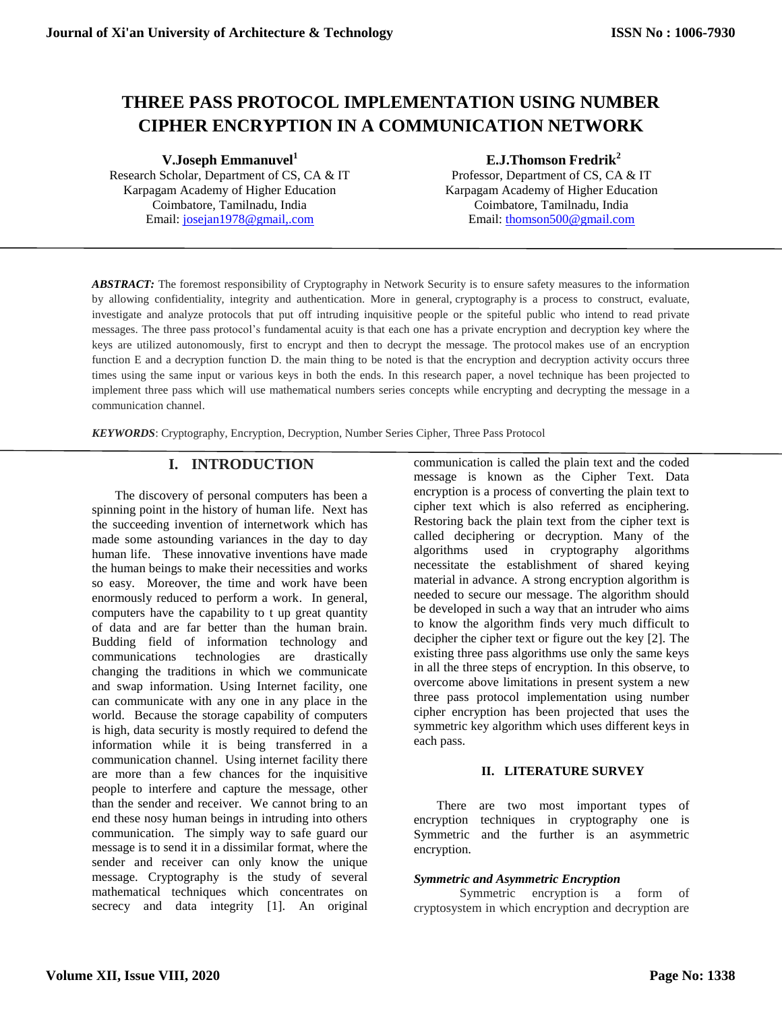# **THREE PASS PROTOCOL IMPLEMENTATION USING NUMBER CIPHER ENCRYPTION IN A COMMUNICATION NETWORK**

**V.Joseph Emmanuvel<sup>1</sup>**

Research Scholar, Department of CS, CA & IT Karpagam Academy of Higher Education Coimbatore, Tamilnadu, India Email: [josejan1978@gmail,.com](mailto:josejan1978@gmail,.com)

## **E.J.Thomson Fredrik<sup>2</sup>**

Professor, Department of CS, CA & IT Karpagam Academy of Higher Education Coimbatore, Tamilnadu, India Email: [thomson500@gmail.com](mailto:thomson500@gmail.com)

*ABSTRACT:* The foremost responsibility of Cryptography in Network Security is to ensure safety measures to the information by allowing confidentiality, integrity and authentication. More in general, cryptography is a process to construct, evaluate, investigate and analyze protocols that put off intruding inquisitive people or the spiteful public who intend to read private messages. The three pass protocol's fundamental acuity is that each one has a private encryption and decryption key where the keys are utilized autonomously, first to encrypt and then to decrypt the message. The protocol makes use of an encryption function E and a decryption function D. the main thing to be noted is that the encryption and decryption activity occurs three times using the same input or various keys in both the ends. In this research paper, a novel technique has been projected to implement three pass which will use mathematical numbers series concepts while encrypting and decrypting the message in a communication channel.

*KEYWORDS*: Cryptography, Encryption, Decryption, Number Series Cipher, Three Pass Protocol

# **I. INTRODUCTION**

The discovery of personal computers has been a spinning point in the history of human life. Next has the succeeding invention of internetwork which has made some astounding variances in the day to day human life. These innovative inventions have made the human beings to make their necessities and works so easy. Moreover, the time and work have been enormously reduced to perform a work. In general, computers have the capability to t up great quantity of data and are far better than the human brain. Budding field of information technology and communications technologies are drastically changing the traditions in which we communicate and swap information. Using Internet facility, one can communicate with any one in any place in the world. Because the storage capability of computers is high, data security is mostly required to defend the information while it is being transferred in a communication channel. Using internet facility there are more than a few chances for the inquisitive people to interfere and capture the message, other than the sender and receiver. We cannot bring to an end these nosy human beings in intruding into others communication. The simply way to safe guard our message is to send it in a dissimilar format, where the sender and receiver can only know the unique message. Cryptography is the study of several mathematical techniques which concentrates on secrecy and data integrity [1]. An original communication is called the plain text and the coded message is known as the Cipher Text. Data encryption is a process of converting the plain text to cipher text which is also referred as enciphering. Restoring back the plain text from the cipher text is called deciphering or decryption. Many of the algorithms used in cryptography algorithms necessitate the establishment of shared keying material in advance. A strong encryption algorithm is needed to secure our message. The algorithm should be developed in such a way that an intruder who aims to know the algorithm finds very much difficult to decipher the cipher text or figure out the key [2]. The existing three pass algorithms use only the same keys in all the three steps of encryption. In this observe, to overcome above limitations in present system a new three pass protocol implementation using number cipher encryption has been projected that uses the symmetric key algorithm which uses different keys in each pass.

# **II. LITERATURE SURVEY**

There are two most important types of encryption techniques in cryptography one is Symmetric and the further is an asymmetric encryption.

#### *Symmetric and Asymmetric Encryption*

Symmetric encryption is a form of cryptosystem in which encryption and decryption are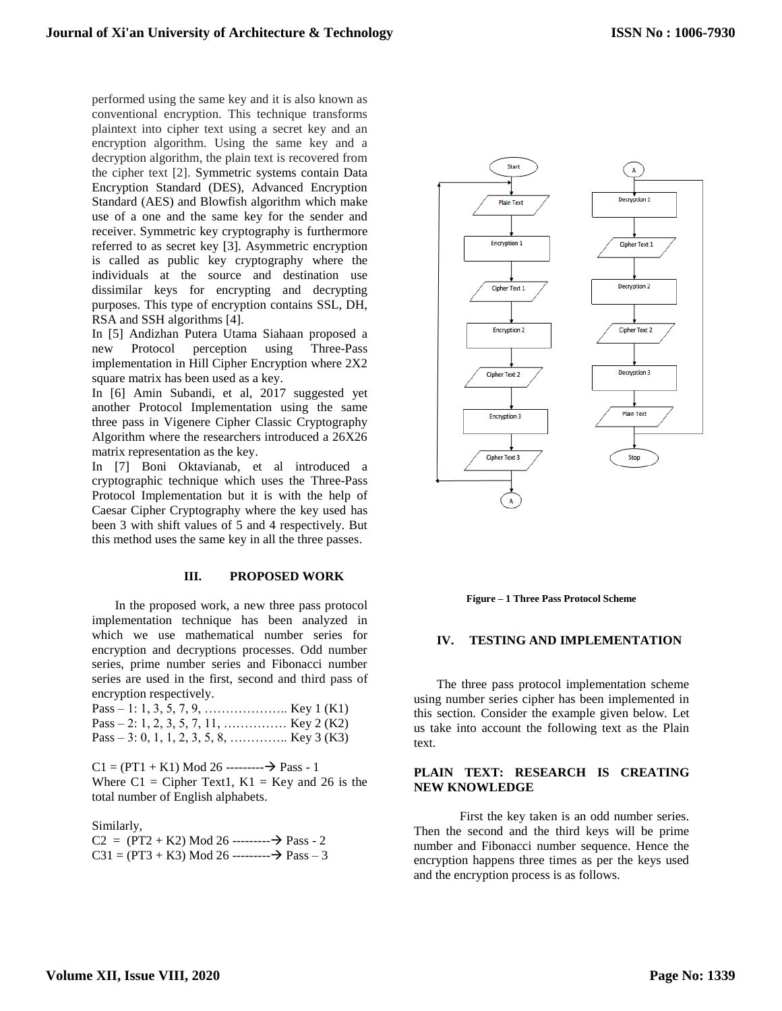performed using the same key and it is also known as conventional encryption. This technique transforms plaintext into cipher text using a secret key and an encryption algorithm. Using the same key and a decryption algorithm, the plain text is recovered from the cipher text [2]. Symmetric systems contain Data Encryption Standard (DES), Advanced Encryption Standard (AES) and Blowfish algorithm which make use of a one and the same key for the sender and receiver. Symmetric key cryptography is furthermore referred to as secret key [3]. Asymmetric encryption is called as public key cryptography where the individuals at the source and destination use dissimilar keys for encrypting and decrypting purposes. This type of encryption contains SSL, DH, RSA and SSH algorithms [4].

In [5] Andizhan Putera Utama Siahaan proposed a new Protocol perception using Three-Pass implementation in Hill Cipher Encryption where 2X2 square matrix has been used as a key.

In [6] Amin Subandi, et al, 2017 suggested yet another Protocol Implementation using the same three pass in Vigenere Cipher Classic Cryptography Algorithm where the researchers introduced a 26X26 matrix representation as the key.

In [7] Boni Oktavianab, et al introduced a cryptographic technique which uses the Three-Pass Protocol Implementation but it is with the help of Caesar Cipher Cryptography where the key used has been 3 with shift values of 5 and 4 respectively. But this method uses the same key in all the three passes.

#### **III. PROPOSED WORK**

In the proposed work, a new three pass protocol implementation technique has been analyzed in which we use mathematical number series for encryption and decryptions processes. Odd number series, prime number series and Fibonacci number series are used in the first, second and third pass of encryption respectively.

| Pass – 2: 1, 2, 3, 5, 7, 11,  Key 2 (K2)   |  |
|--------------------------------------------|--|
| Pass – 3: 0, 1, 1, 2, 3, 5, 8,  Key 3 (K3) |  |

 $C1 = (PT1 + K1)$  Mod 26 --------- $\rightarrow$  Pass - 1 Where  $C1 =$  Cipher Text1,  $K1 =$  Key and 26 is the total number of English alphabets.

Similarly,

 $C2 = (PT2 + K2)$  Mod 26 ----------  $\rightarrow$  Pass - 2  $C31 = (PT3 + K3)$  Mod 26 --------- $\rightarrow$  Pass – 3



**Figure – 1 Three Pass Protocol Scheme**

#### **IV. TESTING AND IMPLEMENTATION**

The three pass protocol implementation scheme using number series cipher has been implemented in this section. Consider the example given below. Let us take into account the following text as the Plain text.

## **PLAIN TEXT: RESEARCH IS CREATING NEW KNOWLEDGE**

First the key taken is an odd number series. Then the second and the third keys will be prime number and Fibonacci number sequence. Hence the encryption happens three times as per the keys used and the encryption process is as follows.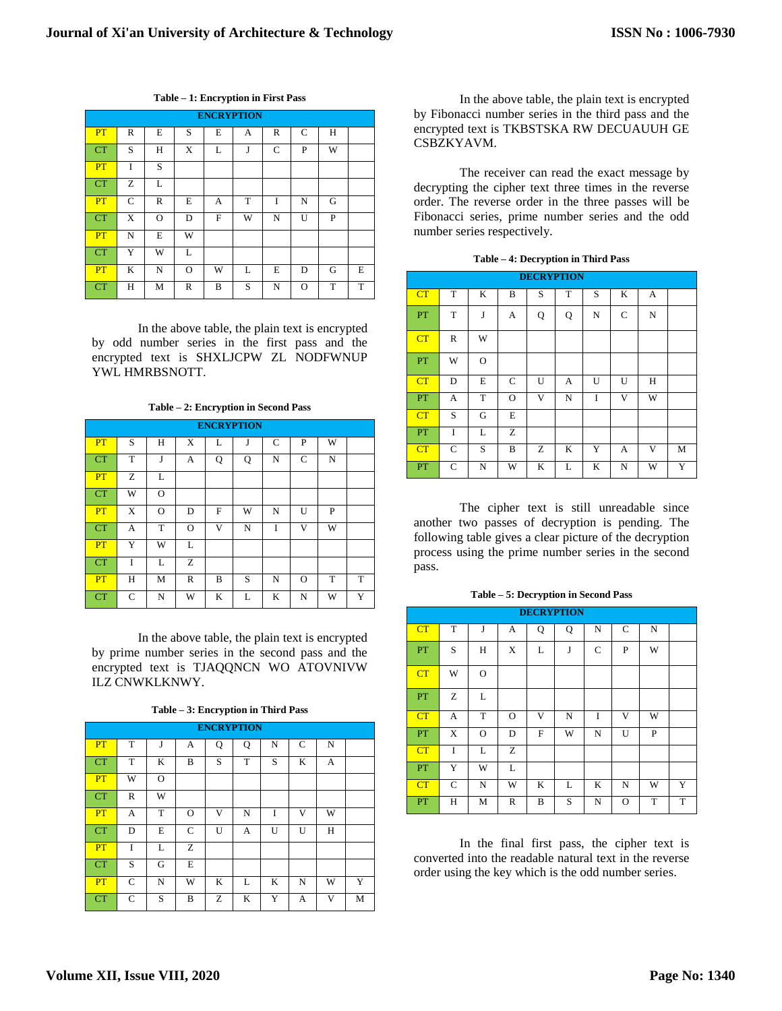| <b>ENCRYPTION</b> |              |          |              |   |   |              |          |   |   |  |  |
|-------------------|--------------|----------|--------------|---|---|--------------|----------|---|---|--|--|
| PT                | R            | E        | S            | E | A | $\mathbb{R}$ | C        | Н |   |  |  |
| <b>CT</b>         | S            | Н        | X            | L | J | C            | P        | W |   |  |  |
| PT                | Ī            | S        |              |   |   |              |          |   |   |  |  |
| <b>CT</b>         | Ζ            | L        |              |   |   |              |          |   |   |  |  |
| PT                | $\mathsf{C}$ | R        | E            | А | T | I            | N        | G |   |  |  |
| <b>CT</b>         | X            | $\Omega$ | D            | F | W | N            | U        | P |   |  |  |
| PT                | N            | E        | W            |   |   |              |          |   |   |  |  |
| <b>CT</b>         | Y            | W        | L            |   |   |              |          |   |   |  |  |
| PT                | K            | N        | O            | W | L | E            | D        | G | E |  |  |
| <b>CT</b>         | Н            | M        | $\mathbb{R}$ | B | S | N            | $\Omega$ | T | T |  |  |

**Table – 1: Encryption in First Pass**

In the above table, the plain text is encrypted by odd number series in the first pass and the encrypted text is SHXLJCPW ZL NODFWNUP YWL HMRBSNOTT.

**Table – 2: Encryption in Second Pass**

|           | <b>ENCRYPTION</b> |          |          |   |   |   |   |   |   |  |  |  |  |
|-----------|-------------------|----------|----------|---|---|---|---|---|---|--|--|--|--|
| PT        | S                 | Н        | X        | L | J | C | P | W |   |  |  |  |  |
| <b>CT</b> | T                 | J        | А        | Q | Q | N | C | N |   |  |  |  |  |
| PT        | Z                 | L        |          |   |   |   |   |   |   |  |  |  |  |
| CT        | W                 | O        |          |   |   |   |   |   |   |  |  |  |  |
| PT        | X                 | $\Omega$ | D        | F | W | N | U | P |   |  |  |  |  |
| <b>CT</b> | А                 | T        | $\Omega$ | V | N | Ī | V | W |   |  |  |  |  |
| PT        | Y                 | W        | L        |   |   |   |   |   |   |  |  |  |  |
| <b>CT</b> | Ī                 | L        | Z        |   |   |   |   |   |   |  |  |  |  |
| PT        | Н                 | M        | R        | B | S | N | O | T | T |  |  |  |  |
| <b>CT</b> | C                 | N        | W        | K | L | K | N | W | Y |  |  |  |  |

In the above table, the plain text is encrypted by prime number series in the second pass and the encrypted text is TJAQQNCN WO ATOVNIVW ILZ CNWKLKNWY.

|           | <b>ENCRYPTION</b> |          |   |   |   |   |             |   |   |  |  |  |  |
|-----------|-------------------|----------|---|---|---|---|-------------|---|---|--|--|--|--|
| PT        | T                 | J        | A | Q | Q | N | $\mathbf C$ | N |   |  |  |  |  |
| CT        | T                 | K        | В | S | T | S | K           | А |   |  |  |  |  |
| PT        | W                 | $\Omega$ |   |   |   |   |             |   |   |  |  |  |  |
| CT        | R                 | W        |   |   |   |   |             |   |   |  |  |  |  |
| PT        | А                 | T        | O | V | N | I | v           | W |   |  |  |  |  |
| CT        | D                 | Е        | C | U | А | U | U           | Н |   |  |  |  |  |
| PT        | I                 | L        | Z |   |   |   |             |   |   |  |  |  |  |
| CT        | S                 | G        | E |   |   |   |             |   |   |  |  |  |  |
| PT        | C                 | N        | W | K | L | K | N           | W | Y |  |  |  |  |
| <b>CT</b> | C                 | S        | B | Z | K | Y | А           | V | M |  |  |  |  |

**Table – 3: Encryption in Third Pass**

In the above table, the plain text is encrypted by Fibonacci number series in the third pass and the encrypted text is TKBSTSKA RW DECUAUUH GE CSBZKYAVM.

The receiver can read the exact message by decrypting the cipher text three times in the reverse order. The reverse order in the three passes will be Fibonacci series, prime number series and the odd number series respectively.

|  | Table – 4: Decryption in Third Pass |  |  |
|--|-------------------------------------|--|--|
|--|-------------------------------------|--|--|

|    | <b>DECRYPTION</b> |          |          |   |   |   |   |   |   |  |  |  |  |
|----|-------------------|----------|----------|---|---|---|---|---|---|--|--|--|--|
| CT | T                 | K        | B        | S | T | S | K | A |   |  |  |  |  |
| PT | T                 | J        | A        | Q | Q | N | C | N |   |  |  |  |  |
| CT | $\mathbb{R}$      | W        |          |   |   |   |   |   |   |  |  |  |  |
| PT | W                 | $\Omega$ |          |   |   |   |   |   |   |  |  |  |  |
| CT | D                 | E        | C        | U | A | U | U | H |   |  |  |  |  |
| PT | A                 | T        | $\Omega$ | V | N | Ī | v | W |   |  |  |  |  |
| CT | S                 | G        | E        |   |   |   |   |   |   |  |  |  |  |
| PT | I                 | L        | Z        |   |   |   |   |   |   |  |  |  |  |
| CT | C                 | S        | B        | Ζ | K | Y | А | V | M |  |  |  |  |
| PT | C                 | N        | W        | K | L | K | N | W | Y |  |  |  |  |

The cipher text is still unreadable since another two passes of decryption is pending. The following table gives a clear picture of the decryption process using the prime number series in the second pass.

|  | Table – 5: Decryption in Second Pass |  |  |  |
|--|--------------------------------------|--|--|--|
|--|--------------------------------------|--|--|--|

|           | <b>DECRYPTION</b> |             |              |   |   |         |   |   |   |  |  |  |  |
|-----------|-------------------|-------------|--------------|---|---|---------|---|---|---|--|--|--|--|
| CT        | T                 | J           | A            | Q | Q | N       | C | N |   |  |  |  |  |
| <b>PT</b> | S                 | H           | X            | L | J | C       | P | W |   |  |  |  |  |
| CT        | W                 | $\Omega$    |              |   |   |         |   |   |   |  |  |  |  |
| PT        | Z                 | L           |              |   |   |         |   |   |   |  |  |  |  |
| CT        | A                 | T           | $\Omega$     | V | N | Ī       | V | W |   |  |  |  |  |
| PT        | X                 | $\mathbf O$ | D            | F | W | N       | U | P |   |  |  |  |  |
| CT        | Ī                 | L           | Ζ            |   |   |         |   |   |   |  |  |  |  |
| PT        | Y                 | W           | L            |   |   |         |   |   |   |  |  |  |  |
| CT        | $\mathbf C$       | N           | W            | K | L | $\bf K$ | N | W | Y |  |  |  |  |
| PT        | Η                 | M           | $\mathbb{R}$ | B | S | N       | O | T | T |  |  |  |  |

In the final first pass, the cipher text is converted into the readable natural text in the reverse order using the key which is the odd number series.